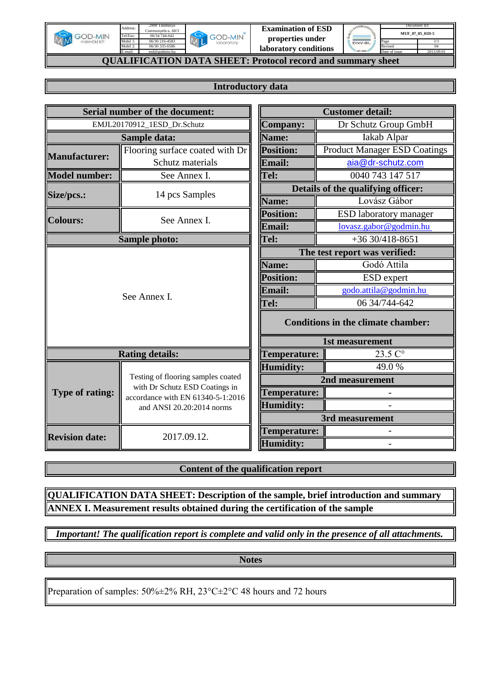

E-mail:

**GOD-MIN** ML

**Examination of ESD properties under** 

| SYSTEM CEATE |               | Document ID:    |
|--------------|---------------|-----------------|
| 坠            |               | MUF 07 05 01D-5 |
| DNV-GL       | Page          |                 |
|              | Revised       |                 |
| ISO 900      | Date of issue |                 |

04 2013.09.01

1/1

**laboratory conditions QUALIFICATION DATA SHEET: Protocol record and summary sheet**

## **Introductory data**

|                        | <b>Serial number of the document:</b>                               | <b>Customer detail:</b> |                                           |  |  |  |  |  |
|------------------------|---------------------------------------------------------------------|-------------------------|-------------------------------------------|--|--|--|--|--|
|                        | EMJL20170912_1ESD_Dr.Schutz                                         | <b>Company:</b>         | Dr Schutz Group GmbH                      |  |  |  |  |  |
|                        | Sample data:                                                        | Name:                   | Iakab Alpar                               |  |  |  |  |  |
| <b>Manufacturer:</b>   | Flooring surface coated with Dr                                     | <b>Position:</b>        | <b>Product Manager ESD Coatings</b>       |  |  |  |  |  |
|                        | Schutz materials                                                    | Email:                  | aia@dr-schutz.com                         |  |  |  |  |  |
| <b>Model number:</b>   | See Annex I.                                                        | Tel:                    | 0040 743 147 517                          |  |  |  |  |  |
| Size/pcs.:             | 14 pcs Samples                                                      |                         | Details of the qualifying officer:        |  |  |  |  |  |
|                        |                                                                     | Name:                   | Lovász Gábor                              |  |  |  |  |  |
| <b>Colours:</b>        | See Annex I.                                                        | Position:               | <b>ESD</b> laboratory manager             |  |  |  |  |  |
|                        |                                                                     | <b>Email:</b>           | lovasz.gabor@godmin.hu                    |  |  |  |  |  |
|                        | <b>Sample photo:</b>                                                | Tel:                    | $+3630/418-8651$                          |  |  |  |  |  |
|                        |                                                                     |                         | The test report was verified:             |  |  |  |  |  |
|                        |                                                                     | Name:                   | Godó Attila                               |  |  |  |  |  |
|                        |                                                                     | <b>Position:</b>        | ESD expert                                |  |  |  |  |  |
|                        | See Annex I.                                                        | <b>Email:</b>           | godo.attila@godmin.hu                     |  |  |  |  |  |
|                        |                                                                     | Tel:                    | 06 34/744-642                             |  |  |  |  |  |
|                        |                                                                     |                         | <b>Conditions in the climate chamber:</b> |  |  |  |  |  |
|                        |                                                                     |                         | 1st measurement                           |  |  |  |  |  |
|                        | <b>Rating details:</b>                                              | Temperature:            | $23.5C$ °                                 |  |  |  |  |  |
|                        |                                                                     | <b>Humidity:</b>        | 49.0%                                     |  |  |  |  |  |
|                        | Testing of flooring samples coated                                  |                         | 2nd measurement                           |  |  |  |  |  |
| <b>Type of rating:</b> | with Dr Schutz ESD Coatings in<br>accordance with EN 61340-5-1:2016 | Temperature:            |                                           |  |  |  |  |  |
|                        | and ANSI 20.20:2014 norms                                           | <b>Humidity:</b>        |                                           |  |  |  |  |  |
|                        |                                                                     |                         | 3rd measurement                           |  |  |  |  |  |
| <b>Revision date:</b>  | 2017.09.12.                                                         | Temperature:            |                                           |  |  |  |  |  |
|                        |                                                                     | <b>Humidity:</b>        |                                           |  |  |  |  |  |

**Content of the qualification report**

**QUALIFICATION DATA SHEET: Description of the sample, brief introduction and summary ANNEX I. Measurement results obtained during the certification of the sample**

*Important! The qualification report is complete and valid only in the presence of all attachments.*

**Notes**

Preparation of samples: 50%±2% RH, 23°C±2°C 48 hours and 72 hours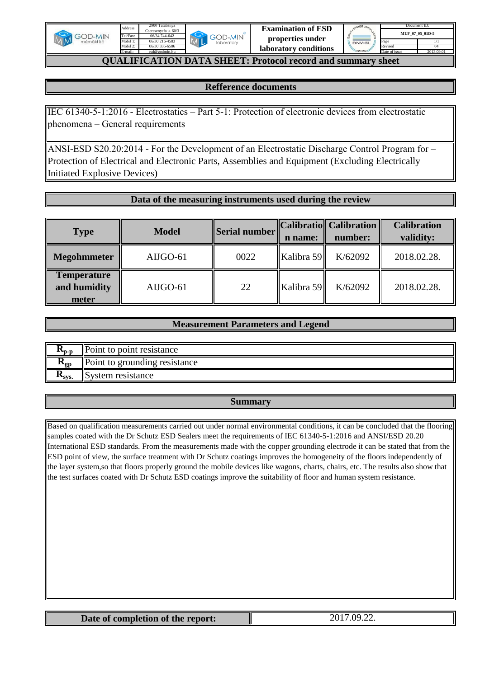

[e](mailto:esd@godmin.hu)sd@godmin.hu

Mobil 1: Tel/Fax: Mobil 2: E-mail:

Address:



| STEM CEATING  |               | Document ID:    |
|---------------|---------------|-----------------|
|               |               | MUF 07 05 01D-5 |
| <b>DNV-GL</b> | Page          |                 |
|               | Revised       | 04              |
| S ISO 900     | Date of issue | 2013.09.01      |

# **QUALIFICATION DATA SHEET: Protocol record and summary sheet**

### **Refference documents**

IEC 61340-5-1:2016 - Electrostatics – Part 5-1: Protection of electronic devices from electrostatic phenomena – General requirements

ANSI-ESD S20.20:2014 - For the Development of an Electrostatic Discharge Control Program for – Protection of Electrical and Electronic Parts, Assemblies and Equipment (Excluding Electrically Initiated Explosive Devices)

### **Data of the measuring instruments used during the review**

| <b>Type</b>                                 | <b>Model</b> | Serial number | n name:    | Calibratio   Calibration   <br>number: | <b>Calibration</b><br>validity: |
|---------------------------------------------|--------------|---------------|------------|----------------------------------------|---------------------------------|
| <b>Megohmmeter</b>                          | AIJGO-61     | 0022          | Kalibra 59 | K/62092                                | 2018.02.28.                     |
| <b>Temperature</b><br>and humidity<br>meter | AIJGO-61     | 22            | Kalibra 59 | K/62092                                | 2018.02.28.                     |

#### **Measurement Parameters and Legend**

| <b>11</b> <sub>D-D</sub> | $\Box$ Point to point resistance |
|--------------------------|----------------------------------|
| <b>A</b> gp              | Point to grounding resistance    |
| <b>ANSVS.</b>            | <b>System resistance</b>         |

#### **Summary**

Based on qualification measurements carried out under normal environmental conditions, it can be concluded that the flooring samples coated with the Dr Schutz ESD Sealers meet the requirements of IEC 61340-5-1:2016 and ANSI/ESD 20.20 International ESD standards. From the measurements made with the copper grounding electrode it can be stated that from the ESD point of view, the surface treatment with Dr Schutz coatings improves the homogeneity of the floors independently of the layer system,so that floors properly ground the mobile devices like wagons, charts, chairs, etc. The results also show that the test surfaces coated with Dr Schutz ESD coatings improve the suitability of floor and human system resistance.

| Date of completion of the report: | no<br>$\overline{\phantom{a}}$ . |
|-----------------------------------|----------------------------------|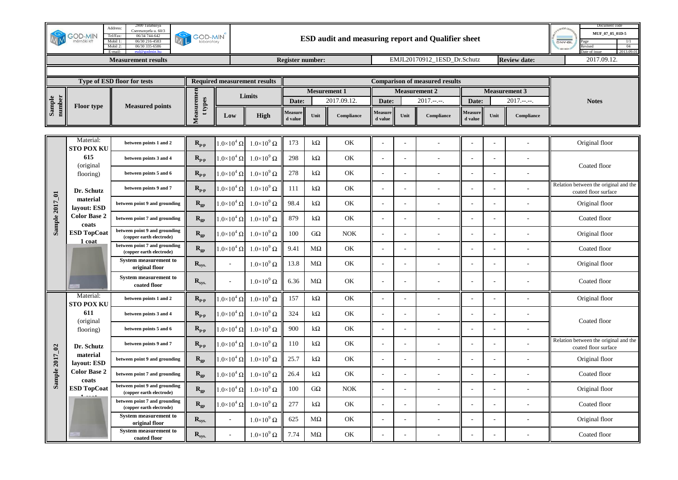|                  | <b>GOD-MIN</b><br>mérnöki kf   | 2800 Tatabanya<br>Address:<br>Cseresznyefa u. 60/3<br>Tel/Fax:<br>06/34 744-642<br>06/30 216-4583<br>Mobil 1:<br>Mobil 2:<br>06/30 335-6586 | <b>GOD-MIN</b><br>laboratory                |                            |                                     |                         | Document code<br>MUF_07_05_01D-5<br>DNV-GL<br>04<br>Revised |             |                    |      |                                       |                    |      |                      |                                                               |
|------------------|--------------------------------|---------------------------------------------------------------------------------------------------------------------------------------------|---------------------------------------------|----------------------------|-------------------------------------|-------------------------|-------------------------------------------------------------|-------------|--------------------|------|---------------------------------------|--------------------|------|----------------------|---------------------------------------------------------------|
|                  |                                | <b>Measurement results</b>                                                                                                                  |                                             |                            |                                     | <b>Register number:</b> |                                                             |             |                    |      | EMJL20170912 1ESD Dr.Schutz           |                    |      | <b>Review date:</b>  | 2017.09.12.                                                   |
|                  |                                | Type of ESD floor for tests                                                                                                                 |                                             |                            | <b>Required measurement results</b> |                         |                                                             |             |                    |      | <b>Comparison of measured results</b> |                    |      |                      |                                                               |
|                  |                                |                                                                                                                                             |                                             |                            |                                     |                         | <b>Mesurement 1</b>                                         |             |                    |      | <b>Measurement 2</b>                  |                    |      | <b>Measurement 3</b> |                                                               |
| Sample<br>number | <b>Floor</b> type              | <b>Measured points</b>                                                                                                                      | t types                                     |                            | Limits                              | Date:                   |                                                             | 2017.09.12. | Date:              |      | $2017---$                             | Date:              |      | $2017.---$           | <b>Notes</b>                                                  |
|                  |                                |                                                                                                                                             | Measuremen                                  | Low                        | High                                | Measure<br>d value      | Unit                                                        | Compliance  | Measure<br>d value | Unit | Compliance                            | Measure<br>d value | Unit | Compliance           |                                                               |
|                  |                                |                                                                                                                                             |                                             |                            |                                     |                         |                                                             |             |                    |      |                                       |                    |      |                      |                                                               |
|                  | Material:<br><b>STO POX KU</b> | between points 1 and 2                                                                                                                      | $R_{p-p}$                                   | $1.0 \times 10^4 \Omega$   | $1.0\times10^9$ $\Omega$            | 173                     | $k\Omega$                                                   | OK          |                    |      |                                       |                    |      |                      | Original floor                                                |
|                  | 615                            | between points 3 and 4                                                                                                                      | $\mathbf{R}_{\mathbf{p}\text{-}\mathbf{p}}$ | $1.0\times10^4$ Ω          | $1.0\times10^9$ $\Omega$            | 298                     | $k\Omega$                                                   | OK          |                    |      |                                       |                    |      |                      |                                                               |
|                  | (original<br>flooring)         | between points 5 and 6                                                                                                                      | $R_{p-p}$                                   | $1.0{\times}10^4$ $\Omega$ | $1.0 \times 10^9 \Omega$            | 278                     | $k\Omega$                                                   | OK          |                    |      |                                       |                    |      |                      | Coated floor                                                  |
|                  | Dr. Schutz                     | between points 9 and 7                                                                                                                      | $\mathbf{R}_{\mathbf{p}\text{-}\mathbf{p}}$ | $1.0 \times 10^4 \Omega$   | $1.0\times10^9$ $\Omega$            | 111                     | $k\Omega$                                                   | OK          | $\overline{a}$     |      |                                       |                    |      |                      | Relation between the original and the<br>coated floor surface |
| Sample 2017_01   | material<br>lavout: ESD        | between point 9 and grounding                                                                                                               | $\mathbf{R}_{\text{gp}}$                    | $1.0\times10^4$ $\Omega$   | $1.0\times10^9$ $\Omega$            | 98.4                    | $k\Omega$                                                   | OK          |                    |      |                                       |                    |      |                      | Original floor                                                |
|                  | <b>Color Base 2</b><br>coats   | between point 7 and grounding                                                                                                               | $R_{gp}$                                    | $1.0\times10^4$ $\Omega$   | $1.0 \times 10^9 \Omega$            | 879                     | $k\Omega$                                                   | OK          |                    |      |                                       |                    |      |                      | Coated floor                                                  |
|                  | <b>ESD TopCoat</b>             | between point 9 and grounding<br>(copper earth electrode)                                                                                   | $\mathbf{R}_{\text{gp}}$                    | $1.0\times10^4$ $\Omega$   | $1.0\times10^{9} \Omega$            | 100                     | $G\Omega$                                                   | <b>NOK</b>  |                    |      |                                       |                    |      |                      | Original floor                                                |
|                  | 1 coat                         | between point 7 and grounding<br>(copper earth electrode)                                                                                   | $\mathbf{R}_{\text{gp}}$                    | $1.0\times10^4$ $\Omega$   | $1.0\times10^9$ $\Omega$            | 9.41                    | $M\Omega$                                                   | OK          | $\overline{a}$     |      |                                       |                    |      |                      | Coated floor                                                  |
|                  |                                | <b>System measurement to</b><br>original floor                                                                                              | $R_{sys.}$                                  |                            | $1.0\times10^9$ $\Omega$            | 13.8                    | $M\Omega$                                                   | OK          |                    |      |                                       |                    |      |                      | Original floor                                                |
|                  |                                | <b>System measurement to</b><br>coated floor                                                                                                | $\mathbf{R}_{\textrm{sys.}}$                |                            | $1.0 \times 10^9 \Omega$            | 6.36                    | $M\Omega$                                                   | OK          |                    |      |                                       |                    |      |                      | Coated floor                                                  |
|                  | Material:<br><b>STO POX KU</b> | between points 1 and 2                                                                                                                      | $R_{p-p}$                                   | $1.0\times10^4$ $\Omega$   | $1.0\times10^9$ $\Omega$            | 157                     | $k\Omega$                                                   | OK          |                    |      |                                       |                    |      |                      | Original floor                                                |
|                  | 611<br>(original               | between points 3 and 4                                                                                                                      | $R_{p-p}$                                   | $1.0\times10^4$ $\Omega$   | $1.0\times10^9$ $\Omega$            | 324                     | $k\Omega$                                                   | OK          |                    |      |                                       |                    |      |                      | Coated floor                                                  |
|                  | flooring)                      | between points 5 and 6                                                                                                                      | $\mathbf{R}_{\mathbf{p}\text{-}\mathbf{p}}$ | $1.0{\times}10^4$ $\Omega$ | $1.0\times10^9$ $\Omega$            | 900                     | $k\Omega$                                                   | OK          | $\overline{a}$     |      |                                       |                    |      |                      |                                                               |
|                  | Dr. Schutz                     | between points 9 and 7                                                                                                                      | $R_{p-p}$                                   | $1.0\times10^4$ $\Omega$   | $1.0\times10^9$ $\Omega$            | 110                     | $k\Omega$                                                   | OK          |                    |      |                                       |                    |      |                      | Relation between the original and the<br>coated floor surface |
|                  | material<br>lavout: ESD        | between point 9 and grounding                                                                                                               | $R_{gp}$                                    | $1.0\times10^4$ Ω          | $1.0\times10^9$ $\Omega$            | 25.7                    | $k\Omega$                                                   | OK          |                    |      |                                       |                    |      |                      | Original floor                                                |
| Sample 2017_02   | <b>Color Base 2</b><br>coats   | between point 7 and grounding                                                                                                               | $\mathbf{R}_\text{gp}$                      | $1.0 \times 10^4 \Omega$   | $1.0\times10^9$ $\Omega$            | 26.4                    | $k\Omega$                                                   | OK          | $\overline{a}$     |      |                                       |                    |      |                      | Coated floor                                                  |
|                  | <b>ESD TopCoat</b>             | between point 9 and grounding<br>(copper earth electrode)                                                                                   | $\mathbf{R}_{\text{gp}}$                    | $1.0\times10^4$ $\Omega$   | $1.0\times10^9$ $\Omega$            | 100                     | $G\Omega$                                                   | <b>NOK</b>  |                    |      |                                       |                    |      |                      | Original floor                                                |
|                  |                                | between point 7 and grounding<br>(copper earth electrode)                                                                                   | $R_{gp}$                                    | $1.0\times10^4$ $\Omega$   | $1.0\times10^9$ $\Omega$            | 277                     | $k\Omega$                                                   | OK          |                    |      |                                       |                    |      |                      | Coated floor                                                  |
|                  |                                | <b>System measurement to</b><br>original floor                                                                                              | $R_{sys.}$                                  | $\sim$                     | $1.0\times10^9$ $\Omega$            | 625                     | $M\Omega$                                                   | OK          | $\sim$             |      |                                       |                    |      |                      | Original floor                                                |
|                  |                                | <b>System measurement to</b><br>coated floor                                                                                                | $\mathbf{R}_{\textrm{sys.}}$                |                            | $1.0\times10^9$ $\Omega$            | 7.74                    | $M\Omega$                                                   | OK          |                    |      |                                       |                    |      |                      | Coated floor                                                  |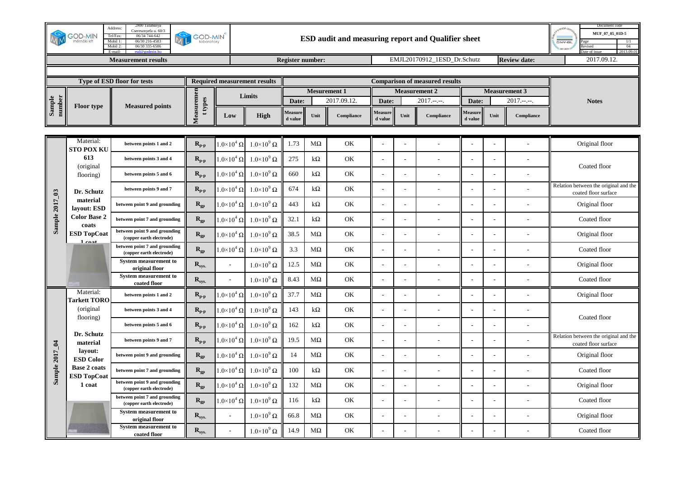|                  | <b>GOD-MIN</b><br>mérnöki kfl             | 2800 Tatabanya<br>Address:<br>Cseresznyefa u. 60/3<br>Tel/Fax:<br>06/34 744-642<br>Mobil 1:<br>06/30 216-4583<br>06/30 335-6586<br>Mobil 2: | <b>GOD-MIN</b><br>laboratory                |                          |                                     |                         |           |                     |                          |                      | ESD audit and measuring report and Qualifier sheet |                           |      |                      | Document code<br>MUF 07 05 01D-5<br><b>DNV-GL</b><br>04<br>Revised<br>2013.09.0 |
|------------------|-------------------------------------------|---------------------------------------------------------------------------------------------------------------------------------------------|---------------------------------------------|--------------------------|-------------------------------------|-------------------------|-----------|---------------------|--------------------------|----------------------|----------------------------------------------------|---------------------------|------|----------------------|---------------------------------------------------------------------------------|
|                  |                                           | <b>Measurement results</b>                                                                                                                  |                                             |                          |                                     | <b>Register number:</b> |           |                     |                          |                      | EMJL20170912 1ESD Dr.Schutz                        |                           |      | <b>Review date:</b>  | 2017.09.12.                                                                     |
|                  |                                           | Type of ESD floor for tests                                                                                                                 |                                             |                          | <b>Required measurement results</b> |                         |           |                     |                          |                      | <b>Comparison of measured results</b>              |                           |      |                      |                                                                                 |
|                  |                                           |                                                                                                                                             |                                             |                          |                                     |                         |           | <b>Mesurement 1</b> |                          | <b>Measurement 2</b> |                                                    |                           |      | <b>Measurement 3</b> |                                                                                 |
| Sample<br>number | <b>Floor</b> type                         | <b>Measured points</b>                                                                                                                      | t types                                     |                          | Limits                              | Date:                   |           | 2017.09.12.         | Date:                    |                      | $2017.---$                                         | Date:                     |      | $2017.---$           | <b>Notes</b>                                                                    |
|                  |                                           |                                                                                                                                             | Measuremen                                  | Low                      | High                                | Measure<br>d value      | Unit      | Compliance          | Measure<br>d value       | Unit                 | $\label{eq:compliance} \textbf{Compliance}$        | <b>Measure</b><br>d value | Unit | Compliance           |                                                                                 |
|                  |                                           |                                                                                                                                             |                                             |                          |                                     |                         |           |                     |                          |                      |                                                    |                           |      |                      |                                                                                 |
|                  | Material:<br><b>STO POX KU</b>            | between points 1 and 2                                                                                                                      | $\mathbf{R}_{\mathbf{p}\text{-}\mathbf{p}}$ | $1.0\times10^4$ $\Omega$ | $1.0\times10^9$ $\Omega$            | 1.73                    | $M\Omega$ | OK                  |                          |                      |                                                    |                           |      |                      | Original floor                                                                  |
|                  | 613<br>(original                          | between points 3 and 4                                                                                                                      | $R_{p-p}$                                   | $1.0\times10^4$ $\Omega$ | $1.0 \times 10^9 \Omega$            | 275                     | $k\Omega$ | $\mathrm{OK}$       | J.                       | $\sim$               |                                                    |                           |      |                      | Coated floor                                                                    |
|                  | flooring)                                 | between points 5 and 6                                                                                                                      | $R_{p-p}$                                   | $1.0 \times 10^4 \Omega$ | $1.0\times10^9$ $\Omega$            | 660                     | $k\Omega$ | OK                  | Ĭ.                       |                      |                                                    |                           |      |                      |                                                                                 |
|                  | Dr. Schutz                                | between points 9 and 7                                                                                                                      | $R_{p-p}$                                   | $1.0\times10^4$ $\Omega$ | $1.0\times10^9$ $\Omega$            | 674                     | $k\Omega$ | OK                  |                          |                      |                                                    |                           |      |                      | Relation between the original and the<br>coated floor surface                   |
|                  | material<br>layout: ESD                   | between point 9 and grounding                                                                                                               | $R_{gp}$                                    | $1.0\times10^4$ $\Omega$ | $1.0\times10^9$ $\Omega$            | 443                     | $k\Omega$ | OK                  | l,                       |                      |                                                    |                           |      |                      | Original floor                                                                  |
| Sample 2017_03   | <b>Color Base 2</b><br>coats              | between point 7 and grounding                                                                                                               | $R_{gp}$                                    | $1.0 \times 10^4 \Omega$ | $1.0\times10^9$ $\Omega$            | 32.1                    | $k\Omega$ | OK                  | $\overline{\phantom{a}}$ |                      |                                                    |                           |      |                      | Coated floor                                                                    |
|                  | <b>ESD TopCoat</b>                        | between point 9 and grounding<br>(copper earth electrode)                                                                                   | $R_{gp}$                                    | $1.0\times10^4$ $\Omega$ | $1.0\times10^9$ $\Omega$            | 38.5                    | $M\Omega$ | OK                  |                          |                      |                                                    |                           |      |                      | Original floor                                                                  |
|                  | 1 nost                                    | between point 7 and grounding<br>(copper earth electrode)                                                                                   | $R_{gp}$                                    | $1.0\times10^4$ $\Omega$ | $1.0 \times 10^9 \Omega$            | 3.3                     | $M\Omega$ | OK                  | $\sim$                   |                      | $\overline{a}$                                     |                           |      |                      | Coated floor                                                                    |
|                  |                                           | <b>System measurement to</b><br>original floor                                                                                              | $\mathbf{R}_{\textrm{sys.}}$                | $\overline{\phantom{a}}$ | $1.0\times10^9$ $\Omega$            | 12.5                    | $M\Omega$ | $\mathrm{OK}$       | J.                       |                      |                                                    |                           |      |                      | Original floor                                                                  |
|                  |                                           | <b>System measurement to</b><br>coated floor                                                                                                | $R_{sys.}$                                  |                          | $1.0\times10^9$ $\Omega$            | 8.43                    | $M\Omega$ | OK                  |                          |                      |                                                    |                           |      |                      | Coated floor                                                                    |
|                  | Material:<br><b>Tarkett TORO</b>          | between points 1 and 2                                                                                                                      | $R_{p-p}$                                   | $1.0\times10^4$ $\Omega$ | $1.0 \times 10^9 \Omega$            | 37.7                    | $M\Omega$ | OK                  |                          |                      |                                                    |                           |      |                      | Original floor                                                                  |
|                  | (original<br>flooring)                    | between points 3 and 4                                                                                                                      | $R_{p-p}$                                   | $1.0 \times 10^4 \Omega$ | $1.0 \times 10^9 \Omega$            | 143                     | $k\Omega$ | $\mathrm{OK}$       | L,                       |                      |                                                    |                           |      |                      | Coated floor                                                                    |
|                  |                                           | between points 5 and 6                                                                                                                      | $R_{p-p}$                                   | $1.0\times10^4$ $\Omega$ | $1.0\times10^9$ $\Omega$            | 162                     | $k\Omega$ | OK                  | $\overline{\phantom{a}}$ |                      |                                                    |                           |      |                      |                                                                                 |
|                  | Dr. Schutz<br>material                    | between points 9 and 7                                                                                                                      | $\mathbf{R}_{\mathbf{p}\text{-}\mathbf{p}}$ | $1.0\times10^4$ $\Omega$ | $1.0\times10^9$ $\Omega$            | 19.5                    | $M\Omega$ | OK                  |                          |                      |                                                    |                           |      |                      | Relation between the original and the<br>coated floor surface                   |
|                  | layout:<br><b>ESD Color</b>               | between point 9 and grounding                                                                                                               | $R_{gp}$                                    | $1.0\times10^4$ $\Omega$ | $1.0 \times 10^9 \Omega$            | 14                      | $M\Omega$ | OK                  |                          |                      |                                                    |                           |      |                      | Original floor                                                                  |
| Sample 2017_04   | <b>Base 2 coats</b><br><b>ESD TopCoat</b> | between point 7 and grounding                                                                                                               | $R_{gp}$                                    | $1.0\times10^4$ $\Omega$ | $1.0\times10^9$ $\Omega$            | 100                     | $k\Omega$ | OK                  | ÷,                       |                      |                                                    |                           |      |                      | Coated floor                                                                    |
|                  | 1 coat                                    | between point 9 and grounding<br>(copper earth electrode)                                                                                   | $R_{gp}$                                    | $1.0\times10^4$ $\Omega$ | $1.0 \times 10^9 \Omega$            | 132                     | $M\Omega$ | OK                  |                          |                      |                                                    |                           |      |                      | Original floor                                                                  |
|                  |                                           | between point 7 and grounding<br>(copper earth electrode)                                                                                   | $\mathbf{R}_{\text{gp}}$                    | $1.0\times10^4$ $\Omega$ | $1.0\times10^9$ $\Omega$            | 116                     | $k\Omega$ | OK                  |                          |                      |                                                    |                           |      |                      | Coated floor                                                                    |
|                  |                                           | <b>System measurement to</b><br>original floor                                                                                              | $\mathbf{R}_{\textrm{sys.}}$                | $\overline{\phantom{a}}$ | $1.0\times10^9$ $\Omega$            | 66.8                    | $M\Omega$ | $\mathrm{OK}$       | J.                       | ÷.                   |                                                    |                           |      |                      | Original floor                                                                  |
|                  |                                           | System measurement to<br>coated floor                                                                                                       | $R_{sys.}$                                  |                          | $1.0\times10^9$ $\Omega$            | 14.9                    | $M\Omega$ | OK                  | L.                       |                      |                                                    |                           |      |                      | Coated floor                                                                    |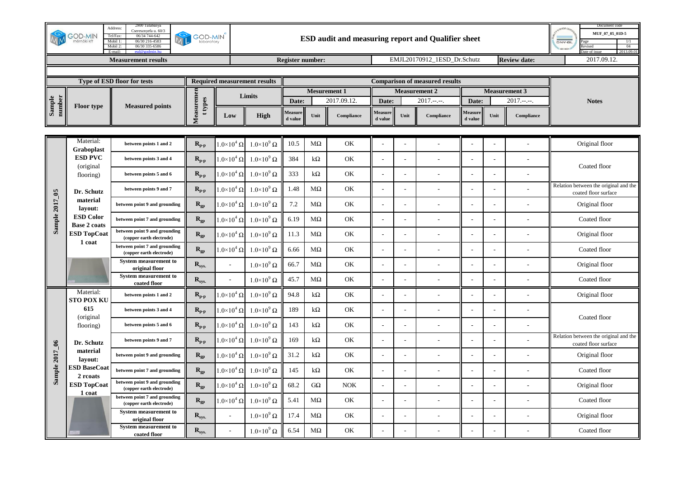|                  | <b>GOD-MIN</b><br>mérnöki kf            | 2800 Tatabanya<br>Address:<br>Cseresznyefa u. 60/3<br>Tel/Fax:<br>06/34 744-642<br>Mobil 1:<br>06/30 216-4583<br>06/30 335-6586<br>Mobil 2: | <b>GOD-MIN</b><br>laboratory                |                          |                                     |                         | Document code<br>MUF 07 05 01D-5<br><b>DNV-GL</b><br>04<br>evised<br>2013.09.0 |             |                          |      |                                       |                    |      |                      |                                                               |
|------------------|-----------------------------------------|---------------------------------------------------------------------------------------------------------------------------------------------|---------------------------------------------|--------------------------|-------------------------------------|-------------------------|--------------------------------------------------------------------------------|-------------|--------------------------|------|---------------------------------------|--------------------|------|----------------------|---------------------------------------------------------------|
|                  |                                         | <b>Measurement results</b>                                                                                                                  |                                             |                          |                                     | <b>Register number:</b> |                                                                                |             |                          |      | EMJL20170912 1ESD Dr.Schutz           |                    |      | <b>Review date:</b>  | 2017.09.12.                                                   |
|                  |                                         | Type of ESD floor for tests                                                                                                                 |                                             |                          | <b>Required measurement results</b> |                         |                                                                                |             |                          |      | <b>Comparison of measured results</b> |                    |      |                      |                                                               |
|                  |                                         |                                                                                                                                             |                                             |                          |                                     |                         | <b>Mesurement 1</b>                                                            |             |                          |      | <b>Measurement 2</b>                  |                    |      | <b>Measurement 3</b> |                                                               |
| Sample<br>number | <b>Floor type</b>                       | <b>Measured points</b>                                                                                                                      | t types                                     |                          | Limits                              | Date:                   |                                                                                | 2017.09.12. | Date:                    |      | $2017.---$                            | Date:              |      | $2017.---$           | <b>Notes</b>                                                  |
|                  |                                         |                                                                                                                                             | Measuremen                                  | Low                      | <b>High</b>                         | Measure<br>d value      | Unit                                                                           | Compliance  | Measure<br>d value       | Unit | Compliance                            | Measure<br>d value | Unit | Compliance           |                                                               |
|                  | Material:                               |                                                                                                                                             |                                             |                          |                                     |                         |                                                                                |             |                          |      |                                       |                    |      |                      |                                                               |
|                  | <b>Graboplast</b>                       | between points 1 and 2                                                                                                                      | $R_{p-p}$                                   | $1.0\times10^4$ Ω $ $    | $1.0\times10^9$ $\Omega$            | 10.5                    | $M\Omega$                                                                      | OK          |                          |      |                                       |                    |      |                      | Original floor                                                |
|                  | <b>ESD PVC</b><br>(original)            | between points 3 and 4                                                                                                                      | $R_{p-p}$                                   | $1.0 \times 10^4 \Omega$ | $1.0\times10^9$ $\Omega$            | 384                     | $k\Omega$                                                                      | OK          |                          |      |                                       |                    |      |                      | Coated floor                                                  |
|                  | flooring)                               | between points 5 and 6                                                                                                                      | $R_{p-p}$                                   | $1.0\times10^4$ $\Omega$ | $1.0 \times 10^9 \Omega$            | 333                     | $k\Omega$                                                                      | OK          |                          |      |                                       |                    |      |                      |                                                               |
|                  | Dr. Schutz                              | between points 9 and 7                                                                                                                      | $R_{p-p}$                                   | $1.0\times10^4$ $\Omega$ | $1.0\times10^9$ $\Omega$            | 1.48                    | $M\Omega$                                                                      | OK          |                          |      |                                       |                    |      |                      | Relation between the original and the<br>coated floor surface |
|                  | material<br>layout:                     | between point 9 and grounding                                                                                                               | $R_{gp}$                                    | $1.0 \times 10^4 \Omega$ | $1.0\times10^9$ $\Omega$            | 7.2                     | $M\Omega$                                                                      | OK          | $\overline{a}$           |      |                                       |                    |      |                      | Original floor                                                |
| Sample 2017_05   | <b>ESD Color</b><br><b>Base 2 coats</b> | between point 7 and grounding                                                                                                               | $\mathbf{R}_{\text{gp}}$                    | $1.0\times10^4$ $\Omega$ | $1.0 \times 10^9 \Omega$            | 6.19                    | $M\Omega$                                                                      | OK          | $\overline{\phantom{a}}$ |      |                                       |                    |      |                      | Coated floor                                                  |
|                  | <b>ESD TopCoat</b>                      | between point 9 and grounding<br>(copper earth electrode)                                                                                   | $\mathbf{R}_{\text{gp}}$                    | $1.0\times10^4$ $\Omega$ | $1.0\times10^9$ $\Omega$            | 11.3                    | $M\Omega$                                                                      | OK          |                          |      |                                       |                    |      |                      | Original floor                                                |
|                  | 1 coat                                  | between point 7 and grounding<br>(copper earth electrode)                                                                                   | $\mathbf{R}_{\text{gp}}$                    | $1.0 \times 10^4 \Omega$ | $1.0\times10^9$ $\Omega$            | 6.66                    | $M\Omega$                                                                      | OK          | $\sim$                   |      |                                       |                    |      |                      | Coated floor                                                  |
|                  |                                         | <b>System measurement to</b><br>original floor                                                                                              | $\mathbf{R}_{\textrm{sys.}}$                |                          | $1.0\times10^9$ $\Omega$            | 66.7                    | $M\Omega$                                                                      | OK          | $\overline{\phantom{a}}$ |      |                                       |                    |      |                      | Original floor                                                |
|                  |                                         | <b>System measurement to</b><br>coated floor                                                                                                | $R_{sys.}$                                  |                          | $1.0\times10^9$ $\Omega$            | 45.7                    | $M\Omega$                                                                      | OK          |                          |      |                                       |                    |      |                      | Coated floor                                                  |
|                  | Material:<br><b>STO POX KU</b>          | between points 1 and 2                                                                                                                      | $R_{p-p}$                                   | $1.0\times10^4$ $\Omega$ | $1.0\times10^9$ $\Omega$            | 94.8                    | $k\Omega$                                                                      | OK          |                          |      |                                       |                    |      |                      | Original floor                                                |
|                  | 615<br>(original                        | between points 3 and 4                                                                                                                      | $R_{p-p}$                                   | $1.0\times10^4$ $\Omega$ | $1.0\times10^9$ $\Omega$            | 189                     | $k\Omega$                                                                      | OK          |                          |      |                                       |                    |      |                      | Coated floor                                                  |
|                  | flooring)                               | between points 5 and 6                                                                                                                      | $\mathbf{R}_{\mathbf{p}\text{-}\mathbf{p}}$ | $1.0\times10^4$ $\Omega$ | $1.0\times10^{9} \Omega$            | 143                     | $k\Omega$                                                                      | OK          | $\overline{\phantom{a}}$ |      |                                       |                    |      |                      |                                                               |
|                  | Dr. Schutz                              | between points 9 and 7                                                                                                                      | $R_{p-p}$                                   | $1.0 \times 10^4 \Omega$ | $1.0 \times 10^9 \Omega$            | 169                     | $k\Omega$                                                                      | OK          |                          |      |                                       |                    |      |                      | Relation between the original and the<br>coated floor surface |
| Sample 2017_06   | material<br>lavout:                     | between point 9 and grounding                                                                                                               | $\mathbf{R}_{\text{gp}}$                    | $1.0\times10^4$ $\Omega$ | $1.0 \times 10^9 \Omega$            | 31.2                    | $k\Omega$                                                                      | OK          |                          |      |                                       |                    |      |                      | Original floor                                                |
|                  | <b>ESD BaseCoat</b><br>2 reoats         | between point 7 and grounding                                                                                                               | $R_{gp}$                                    | $1.0 \times 10^4 \Omega$ | $1.0 \times 10^9 \Omega$            | 145                     | $k\Omega$                                                                      | OK          | $\overline{a}$           |      |                                       |                    |      |                      | Coated floor                                                  |
|                  | <b>ESD TopCoat</b><br>1 coat            | between point 9 and grounding<br>(copper earth electrode)                                                                                   | $R_{gp}$                                    | $1.0\times10^4$ $\Omega$ | $1.0\times10^9$ $\Omega$            | 68.2                    | $G\Omega$                                                                      | <b>NOK</b>  |                          |      |                                       |                    |      |                      | Original floor                                                |
|                  |                                         | between point 7 and grounding<br>(copper earth electrode)                                                                                   | $R_{gp}$                                    | $1.0\times10^4$ Ω        | $1.0\times10^9$ $\Omega$            | 5.41                    | $M\Omega$                                                                      | OK          |                          |      |                                       |                    |      |                      | Coated floor                                                  |
|                  |                                         | <b>System measurement to</b><br>original floor                                                                                              | $R_{sys.}$                                  | $\overline{a}$           | $1.0\times10^9$ $\Omega$            | 17.4                    | $M\Omega$                                                                      | OK          | $\overline{a}$           |      |                                       |                    |      |                      | Original floor                                                |
|                  |                                         | <b>System measurement to</b><br>coated floor                                                                                                | $\mathbf{R}_{\textrm{sys.}}$                |                          | $1.0\times10^9$ $\Omega$            | 6.54                    | $M\Omega$                                                                      | OK          |                          |      |                                       |                    |      |                      | Coated floor                                                  |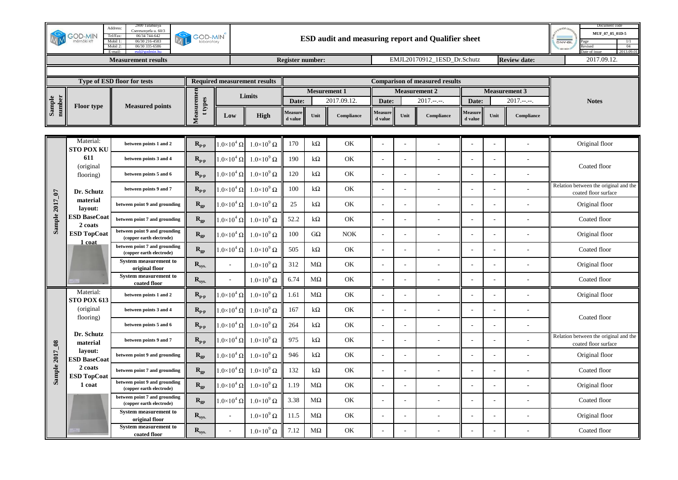|                  | <b>GOD-MIN</b><br>nérnöki kf    | 2800 Tatabanya<br>Address:<br>Cseresznyefa u. 60/3<br>Tel/Fax:<br>06/34 744-642<br>Mobil 1:<br>06/30 216-4583<br>Mobil 2:<br>06/30 335-6586 | <b>GOD-MIN</b><br>laboratory                |                          |                                     |                         |                     |             |                          |                      | ESD audit and measuring report and Qualifier sheet |                    |      |                      | Document code<br>MUF 07 05 01D-5<br><b>DNV-GL</b><br>04<br>evised<br>2013.09. |
|------------------|---------------------------------|---------------------------------------------------------------------------------------------------------------------------------------------|---------------------------------------------|--------------------------|-------------------------------------|-------------------------|---------------------|-------------|--------------------------|----------------------|----------------------------------------------------|--------------------|------|----------------------|-------------------------------------------------------------------------------|
|                  |                                 | <b>Measurement results</b>                                                                                                                  |                                             |                          |                                     | <b>Register number:</b> |                     |             |                          |                      | EMJL20170912 1ESD Dr.Schutz                        |                    |      | <b>Review date:</b>  | 2017.09.12.                                                                   |
|                  |                                 | Type of ESD floor for tests                                                                                                                 |                                             |                          | <b>Required measurement results</b> |                         |                     |             |                          |                      | <b>Comparison of measured results</b>              |                    |      |                      |                                                                               |
|                  |                                 |                                                                                                                                             |                                             |                          |                                     |                         | <b>Mesurement 1</b> |             |                          | <b>Measurement 2</b> |                                                    |                    |      | <b>Measurement 3</b> |                                                                               |
| Sample<br>number | <b>Floor type</b>               | <b>Measured points</b>                                                                                                                      | t types                                     |                          | Limits                              | Date:                   |                     | 2017.09.12. | Date:                    |                      | $2017.---$                                         | Date:              |      | $2017.---$           | <b>Notes</b>                                                                  |
|                  |                                 |                                                                                                                                             | Measuremen                                  | Low                      | <b>High</b>                         | Measure<br>d value      | Unit                | Compliance  | Measure<br>d value       | Unit                 | Compliance                                         | Measure<br>d value | Unit | Compliance           |                                                                               |
|                  |                                 |                                                                                                                                             |                                             |                          |                                     |                         |                     |             |                          |                      |                                                    |                    |      |                      |                                                                               |
|                  | Material:<br><b>STO POX KU</b>  | between points 1 and 2                                                                                                                      | $\mathbf{R}_{\mathbf{p}\text{-}\mathbf{p}}$ | $1.0\times10^4$ $\Omega$ | $1.0\times10^9$ $\Omega$            | 170                     | $k\Omega$           | OK          |                          |                      |                                                    |                    |      |                      | Original floor                                                                |
|                  | 611<br>(original)               | between points 3 and 4                                                                                                                      | $R_{p-p}$                                   | $1.0\times10^4$ $\Omega$ | $1.0\times10^9$ $\Omega$            | 190                     | $k\Omega$           | OK          | ÷                        |                      |                                                    |                    |      |                      | Coated floor                                                                  |
|                  | flooring)                       | between points 5 and 6                                                                                                                      | $R_{p-p}$                                   | $1.0\times10^4$ $\Omega$ | $1.0\times10^9$ $\Omega$            | 120                     | $k\Omega$           | OK          |                          |                      |                                                    |                    |      |                      |                                                                               |
|                  | Dr. Schutz                      | between points 9 and 7                                                                                                                      | $\mathbf{R}_{\mathbf{p}\text{-}\mathbf{p}}$ | $1.0\times10^4$ $\Omega$ | $1.0\times10^9$ $\Omega$            | 100                     | $k\Omega$           | OK          |                          |                      |                                                    |                    |      |                      | Relation between the original and the<br>coated floor surface                 |
|                  | material<br>layout:             | between point 9 and grounding                                                                                                               | $R_{gp}$                                    | $1.0\times10^4$ $\Omega$ | $1.0\times10^9$ $\Omega$            | 25                      | $k\Omega$           | OK          | $\overline{\phantom{a}}$ |                      |                                                    |                    |      |                      | Original floor                                                                |
| Sample 2017_07   | <b>ESD BaseCoat</b><br>2 coats  | between point 7 and grounding                                                                                                               | $R_{gp}$                                    | $1.0\times10^4$ $\Omega$ | $1.0\times10^9$ $\Omega$            | 52.2                    | $k\Omega$           | OK          | $\blacksquare$           |                      |                                                    |                    |      |                      | Coated floor                                                                  |
|                  | <b>ESD TopCoat</b>              | between point 9 and grounding<br>(copper earth electrode)                                                                                   | $\mathbf{R}_{\text{gp}}$                    | $.0\times10^4$ $\Omega$  | $1.0\times10^9$ $\Omega$            | 100                     | $G\Omega$           | <b>NOK</b>  |                          |                      |                                                    |                    |      |                      | Original floor                                                                |
|                  | 1 coat                          | between point 7 and grounding<br>(copper earth electrode)                                                                                   | $R_{gp}$                                    | $1.0 \times 10^4 \Omega$ | $1.0\times10^9$ $\Omega$            | 505                     | $k\Omega$           | OK          | $\overline{\phantom{a}}$ |                      |                                                    |                    |      |                      | Coated floor                                                                  |
|                  |                                 | <b>System measurement to</b><br>original floor                                                                                              | $R_{sys.}$                                  | $\sim$                   | $1.0 \times 10^9 \Omega$            | 312                     | $M\Omega$           | OK          | $\overline{\phantom{a}}$ |                      |                                                    |                    |      |                      | Original floor                                                                |
|                  |                                 | <b>System measurement to</b><br>coated floor                                                                                                | $R_{sys.}$                                  |                          | $1.0\times10^9$ $\Omega$            | 6.74                    | $M\Omega$           | OK          |                          |                      |                                                    |                    |      |                      | Coated floor                                                                  |
|                  | Material:<br><b>STO POX 613</b> | between points 1 and 2                                                                                                                      | $R_{p-p}$                                   | $1.0\times10^4$ $\Omega$ | $1.0\times10^9$ $\Omega$            | 1.61                    | $M\Omega$           | OK          |                          |                      |                                                    |                    |      |                      | Original floor                                                                |
|                  | (original)                      | between points 3 and 4                                                                                                                      | $R_{p-p}$                                   | $1.0\times10^4$ $\Omega$ | $1.0\times10^9$ $\Omega$            | 167                     | $k\Omega$           | OK          | $\blacksquare$           |                      |                                                    |                    |      |                      |                                                                               |
|                  | flooring)                       | between points 5 and 6                                                                                                                      | $\mathbf{R}_{\mathbf{p}\text{-}\mathbf{p}}$ | $1.0\times10^4$ $\Omega$ | $1.0\times10^{9} \Omega$            | 264                     | $k\Omega$           | OK          | $\overline{\phantom{a}}$ |                      |                                                    |                    |      |                      | Coated floor                                                                  |
|                  | Dr. Schutz<br>material          | between points 9 and 7                                                                                                                      | $\mathbf{R}_{\text{p-p}}$                   | $1.0\times10^4$ $\Omega$ | $1.0\times10^9$ $\Omega$            | 975                     | $k\Omega$           | OK          |                          |                      |                                                    |                    |      |                      | Relation between the original and the<br>coated floor surface                 |
|                  | lavout:<br><b>ESD BaseCoat</b>  | between point 9 and grounding                                                                                                               | $R_{gp}$                                    | $1.0\times10^4$ $\Omega$ | $1.0 \times 10^9 \Omega$            | 946                     | $k\Omega$           | OK          |                          |                      |                                                    |                    |      |                      | Original floor                                                                |
| Sample 2017_08   | 2 coats<br><b>ESD TopCoat</b>   | between point 7 and grounding                                                                                                               | $R_{gp}$                                    | $1.0\times10^4$ $\Omega$ | $1.0\times10^9$ $\Omega$            | 132                     | $k\Omega$           | OK          | $\sim$                   |                      |                                                    |                    |      |                      | Coated floor                                                                  |
|                  | 1 coat                          | between point 9 and grounding<br>(copper earth electrode)                                                                                   | $R_{gp}$                                    | $.0\times10^4$ $\Omega$  | $1.0\times10^9$ $\Omega$            | 1.19                    | $\rm M\Omega$       | OK          |                          |                      |                                                    |                    |      |                      | Original floor                                                                |
|                  |                                 | between point 7 and grounding<br>(copper earth electrode)                                                                                   | $R_{gp}$                                    | $1.0\times10^4$ $\Omega$ | $1.0\times10^9$ $\Omega$            | 3.38                    | $M\Omega$           | OK          | $\sim$                   |                      |                                                    |                    |      |                      | Coated floor                                                                  |
|                  |                                 | <b>System measurement to</b><br>original floor                                                                                              | $\mathbf{R}_{\textrm{sys.}}$                | $\sim$                   | $1.0\times10^9$ $\Omega$            | 11.5                    | $\rm{M}\Omega$      | OK          | L.                       | $\sim$               |                                                    |                    |      |                      | Original floor                                                                |
|                  |                                 | <b>System measurement to</b><br>coated floor                                                                                                | $\mathbf{R}_{\textrm{sys.}}$                |                          | $1.0\times10^9$ $\Omega$            | 7.12                    | $M\Omega$           | OK          |                          |                      |                                                    |                    |      |                      | Coated floor                                                                  |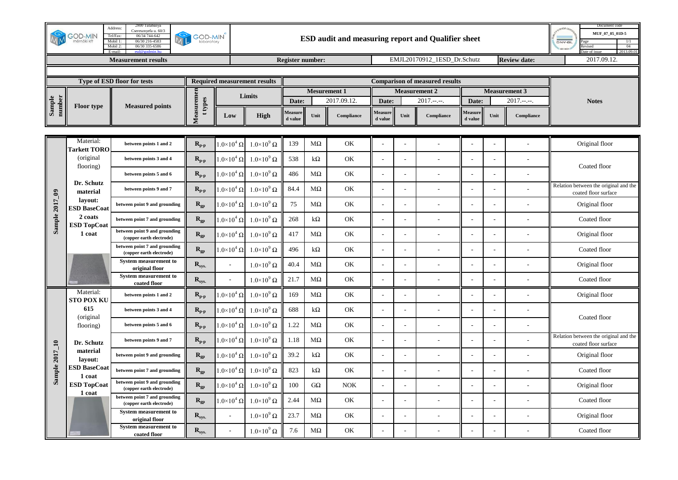|                  | <b>GOD-MIN</b><br>mérnöki kf     | 2800 Tatabanya<br>Address:<br>Cseresznyefa u. 60/3<br>Tel/Fax:<br>06/34 744-642<br>Mobil 1:<br>06/30 216-4583<br>06/30 335-6586<br>Mobil 2: | <b>GOD-MIN</b><br>laboratory                |                          |                                     |                         |                     | ESD audit and measuring report and Qualifier sheet |                          | Document code<br>MUF 07 05 01D-5<br><b>DNV-GL</b><br>04<br>evised<br>2013.09.0 |                                       |                    |      |                      |                                                               |
|------------------|----------------------------------|---------------------------------------------------------------------------------------------------------------------------------------------|---------------------------------------------|--------------------------|-------------------------------------|-------------------------|---------------------|----------------------------------------------------|--------------------------|--------------------------------------------------------------------------------|---------------------------------------|--------------------|------|----------------------|---------------------------------------------------------------|
|                  |                                  | <b>Measurement results</b>                                                                                                                  |                                             |                          |                                     | <b>Register number:</b> |                     |                                                    |                          |                                                                                | EMJL20170912 1ESD Dr.Schutz           |                    |      | <b>Review date:</b>  | 2017.09.12.                                                   |
|                  |                                  | Type of ESD floor for tests                                                                                                                 |                                             |                          | <b>Required measurement results</b> |                         |                     |                                                    |                          |                                                                                | <b>Comparison of measured results</b> |                    |      |                      |                                                               |
|                  |                                  |                                                                                                                                             |                                             |                          |                                     |                         | <b>Mesurement 1</b> |                                                    |                          |                                                                                | <b>Measurement 2</b>                  |                    |      | <b>Measurement 3</b> |                                                               |
| Sample<br>number | <b>Floor type</b>                | <b>Measured points</b>                                                                                                                      | t types                                     |                          | Limits                              | Date:                   |                     | 2017.09.12.                                        | Date:                    |                                                                                | $2017.---$                            | Date:              |      | $2017.---$           | <b>Notes</b>                                                  |
|                  |                                  |                                                                                                                                             | Measuremen                                  | Low                      | <b>High</b>                         | Measure<br>d value      | Unit                | Compliance                                         | Measure<br>d value       | Unit                                                                           | Compliance                            | Measure<br>d value | Unit | Compliance           |                                                               |
|                  | Material:                        | between points 1 and 2                                                                                                                      | $R_{p-p}$                                   | $1.0\times10^4$ Ω $ $    | $1.0\times10^9$ $\Omega$            | 139                     | $M\Omega$           | OK                                                 |                          |                                                                                |                                       |                    |      |                      | Original floor                                                |
|                  | <b>Tarkett TORO</b><br>(original | between points 3 and 4                                                                                                                      | $R_{p-p}$                                   | $1.0 \times 10^4 \Omega$ | $1.0\times10^9$ $\Omega$            | 538                     | $k\Omega$           | OK                                                 |                          |                                                                                |                                       |                    |      |                      |                                                               |
|                  | flooring)                        | between points 5 and 6                                                                                                                      | $R_{p-p}$                                   | $1.0\times10^4$ $\Omega$ | $1.0\times10^9$ $\Omega$            | 486                     | $M\Omega$           | OK                                                 |                          |                                                                                |                                       |                    |      |                      | Coated floor                                                  |
|                  | Dr. Schutz<br>material           | between points 9 and 7                                                                                                                      | $R_{p-p}$                                   | $1.0\times10^4$ $\Omega$ | $1.0\times10^9$ $\Omega$            | 84.4                    | $M\Omega$           | OK                                                 |                          |                                                                                |                                       |                    |      |                      | Relation between the original and the<br>coated floor surface |
| Sample 2017_09   | layout:<br><b>ESD BaseCoat</b>   | between point 9 and grounding                                                                                                               | $R_{gp}$                                    | $1.0 \times 10^4 \Omega$ | $1.0\times10^9$ $\Omega$            | 75                      | $M\Omega$           | OK                                                 | $\overline{a}$           |                                                                                |                                       |                    |      |                      | Original floor                                                |
|                  | 2 coats<br><b>ESD TopCoat</b>    | between point 7 and grounding                                                                                                               | $\mathbf{R}_{\text{gp}}$                    | $1.0\times10^4$ $\Omega$ | $1.0\times10^9$ $\Omega$            | 268                     | $k\Omega$           | OK                                                 | $\overline{\phantom{a}}$ |                                                                                |                                       |                    |      |                      | Coated floor                                                  |
|                  | 1 coat                           | between point 9 and grounding<br>(copper earth electrode)                                                                                   | $\mathbf{R}_{\text{gp}}$                    | $1.0\times10^4$ $\Omega$ | $1.0\times10^9$ $\Omega$            | 417                     | $M\Omega$           | OK                                                 |                          |                                                                                |                                       |                    |      |                      | Original floor                                                |
|                  |                                  | between point 7 and grounding<br>(copper earth electrode)                                                                                   | $\mathbf{R}_{\text{gp}}$                    | $1.0 \times 10^4 \Omega$ | $1.0\times10^9$ $\Omega$            | 496                     | $k\Omega$           | OK                                                 | $\sim$                   |                                                                                |                                       |                    |      |                      | Coated floor                                                  |
|                  |                                  | <b>System measurement to</b><br>original floor                                                                                              | $R_{sys.}$                                  |                          | $1.0\times10^9$ $\Omega$            | 40.4                    | $M\Omega$           | OK                                                 | $\overline{\phantom{a}}$ |                                                                                |                                       |                    |      |                      | Original floor                                                |
|                  |                                  | <b>System measurement to</b><br>coated floor                                                                                                | $R_{sys.}$                                  |                          | $1.0\times10^9$ $\Omega$            | 21.7                    | $M\Omega$           | OK                                                 |                          |                                                                                |                                       |                    |      |                      | Coated floor                                                  |
|                  | Material:<br><b>STO POX KU</b>   | between points 1 and 2                                                                                                                      | $R_{p-p}$                                   | $1.0\times10^4$ $\Omega$ | $1.0\times10^9$ $\Omega$            | 169                     | $M\Omega$           | OK                                                 |                          |                                                                                |                                       |                    |      |                      | Original floor                                                |
|                  | 615<br>(original                 | between points 3 and 4                                                                                                                      | $R_{p-p}$                                   | $1.0\times10^4$ $\Omega$ | $1.0\times10^9$ $\Omega$            | 688                     | $k\Omega$           | OK                                                 |                          |                                                                                |                                       |                    |      |                      | Coated floor                                                  |
|                  | flooring)                        | between points 5 and 6                                                                                                                      | $\mathbf{R}_{\mathbf{p}\text{-}\mathbf{p}}$ | $1.0\times10^4$ $\Omega$ | $1.0 \times 10^9 \Omega$            | 1.22                    | $M\Omega$           | OK                                                 | $\overline{\phantom{a}}$ |                                                                                |                                       |                    |      |                      |                                                               |
|                  | Dr. Schutz                       | between points 9 and 7                                                                                                                      | $R_{p-p}$                                   | $1.0 \times 10^4 \Omega$ | $1.0 \times 10^9 \Omega$            | 1.18                    | $M\Omega$           | OK                                                 |                          |                                                                                |                                       |                    |      |                      | Relation between the original and the<br>coated floor surface |
| Sample 2017_10   | $\bf material$<br>lavout:        | between point 9 and grounding                                                                                                               | $\mathbf{R}_{\text{gp}}$                    | $1.0\times10^4$ $\Omega$ | $1.0 \times 10^9 \Omega$            | 39.2                    | $k\Omega$           | OK                                                 |                          |                                                                                |                                       |                    |      |                      | Original floor                                                |
|                  | <b>ESD BaseCoat</b><br>1 coat    | between point 7 and grounding                                                                                                               | $R_{gp}$                                    | $1.0 \times 10^4 \Omega$ | $1.0 \times 10^9 \Omega$            | 823                     | $k\Omega$           | OK                                                 | $\overline{a}$           |                                                                                |                                       |                    |      |                      | Coated floor                                                  |
|                  | <b>ESD TopCoat</b><br>1 coat     | between point 9 and grounding<br>(copper earth electrode)                                                                                   | $R_{gp}$                                    | $1.0\times10^4$ $\Omega$ | $1.0\times10^9$ $\Omega$            | 100                     | $G\Omega$           | <b>NOK</b>                                         |                          |                                                                                |                                       |                    |      |                      | Original floor                                                |
|                  |                                  | between point 7 and grounding<br>(copper earth electrode)                                                                                   | $\mathbf{R}_\text{gp}$                      | $1.0\times10^4$ Ω        | $1.0\times10^9$ $\Omega$            | 2.44                    | $M\Omega$           | OK                                                 |                          |                                                                                |                                       |                    |      |                      | Coated floor                                                  |
|                  |                                  | <b>System measurement to</b><br>original floor                                                                                              | $R_{sys.}$                                  | $\overline{a}$           | $1.0\times10^9$ $\Omega$            | 23.7                    | $M\Omega$           | OK                                                 | $\overline{a}$           |                                                                                |                                       |                    |      |                      | Original floor                                                |
|                  |                                  | <b>System measurement to</b><br>coated floor                                                                                                | $\mathbf{R}_{\textrm{sys.}}$                |                          | $1.0\times10^9$ $\Omega$            | 7.6                     | $M\Omega$           | OK                                                 |                          |                                                                                |                                       |                    |      |                      | Coated floor                                                  |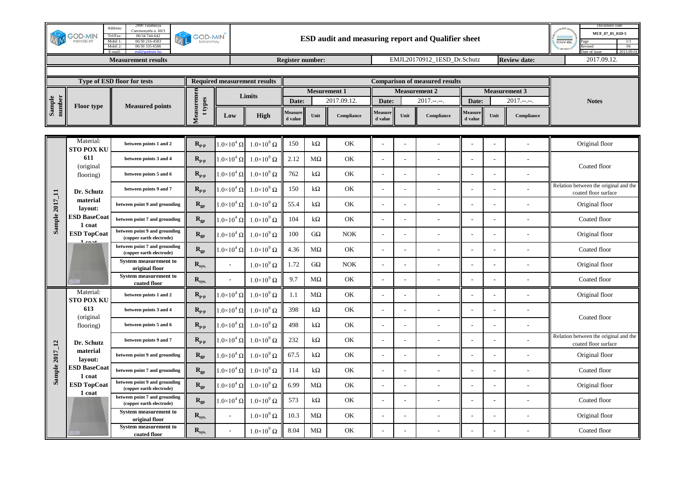|                  | <b>GOD-MIN</b><br>mérnöki kf   | 2800 Tatabanya<br>Address:<br>Cseresznyefa u. 60/3<br>Tel/Fax:<br>06/34 744-642<br>Mobil 1:<br>06/30 216-4583<br>06/30 335-6586<br>Mobil 2: | <b>GOD-MIN</b><br>laboratory                |                          |                                     |                         | Document code<br>MUF 07 05 01D-5<br><b>DNV-GL</b><br>04<br>evised<br>2013.09.0 |             |                          |      |                                       |                    |      |                      |                                                               |
|------------------|--------------------------------|---------------------------------------------------------------------------------------------------------------------------------------------|---------------------------------------------|--------------------------|-------------------------------------|-------------------------|--------------------------------------------------------------------------------|-------------|--------------------------|------|---------------------------------------|--------------------|------|----------------------|---------------------------------------------------------------|
|                  |                                | <b>Measurement results</b>                                                                                                                  |                                             |                          |                                     | <b>Register number:</b> |                                                                                |             |                          |      | EMJL20170912 1ESD Dr.Schutz           |                    |      | <b>Review date:</b>  | 2017.09.12.                                                   |
|                  |                                | Type of ESD floor for tests                                                                                                                 |                                             |                          | <b>Required measurement results</b> |                         |                                                                                |             |                          |      | <b>Comparison of measured results</b> |                    |      |                      |                                                               |
|                  |                                |                                                                                                                                             |                                             |                          |                                     |                         | <b>Mesurement 1</b>                                                            |             |                          |      | <b>Measurement 2</b>                  |                    |      | <b>Measurement 3</b> |                                                               |
| Sample<br>number | <b>Floor type</b>              | <b>Measured points</b>                                                                                                                      | t types                                     |                          | Limits                              | Date:                   |                                                                                | 2017.09.12. | Date:                    |      | $2017.---$                            | Date:              |      | $2017.---$           | <b>Notes</b>                                                  |
|                  |                                |                                                                                                                                             | Measuremen                                  | Low                      | <b>High</b>                         | Measure<br>d value      | Unit                                                                           | Compliance  | Measure<br>d value       | Unit | Compliance                            | Measure<br>d value | Unit | Compliance           |                                                               |
|                  | Material:                      |                                                                                                                                             |                                             |                          |                                     |                         |                                                                                |             |                          |      |                                       |                    |      |                      |                                                               |
|                  | <b>STO POX KU</b>              | between points 1 and 2                                                                                                                      | $R_{p-p}$                                   | $1.0\times10^4$ Ω $ $    | $1.0\times10^9$ $\Omega$            | 150                     | $k\Omega$                                                                      | OK          |                          |      |                                       |                    |      |                      | Original floor                                                |
|                  | 611<br>(original)              | between points 3 and 4                                                                                                                      | $R_{p-p}$                                   | $1.0 \times 10^4 \Omega$ | $1.0\times10^9$ $\Omega$            | 2.12                    | $M\Omega$                                                                      | OK          |                          |      |                                       |                    |      |                      | Coated floor                                                  |
|                  | flooring)                      | between points 5 and 6                                                                                                                      | $R_{p-p}$                                   | $1.0\times10^4$ $\Omega$ | $1.0 \times 10^9 \Omega$            | 762                     | $k\Omega$                                                                      | OK          |                          |      |                                       |                    |      |                      |                                                               |
|                  | Dr. Schutz                     | between points 9 and 7                                                                                                                      | $R_{p-p}$                                   | $1.0\times10^4$ $\Omega$ | $1.0\times10^9$ $\Omega$            | 150                     | $k\Omega$                                                                      | OK          |                          |      |                                       |                    |      |                      | Relation between the original and the<br>coated floor surface |
|                  | material<br>layout:            | between point 9 and grounding                                                                                                               | $R_{gp}$                                    | $1.0 \times 10^4 \Omega$ | $1.0\times10^9$ $\Omega$            | 55.4                    | $k\Omega$                                                                      | OK          | $\overline{a}$           |      |                                       |                    |      |                      | Original floor                                                |
| Sample 2017_11   | <b>ESD BaseCoat</b><br>1 coat  | between point 7 and grounding                                                                                                               | $\mathbf{R}_{\text{gp}}$                    | $1.0\times10^4$ $\Omega$ | $1.0\times10^9$ $\Omega$            | 104                     | $k\Omega$                                                                      | OK          | $\overline{\phantom{a}}$ |      |                                       |                    |      |                      | Coated floor                                                  |
|                  | <b>ESD TopCoat</b>             | between point 9 and grounding<br>(copper earth electrode)                                                                                   | $\mathbf{R}_{\text{gp}}$                    | $1.0\times10^4$ $\Omega$ | $1.0\times10^9$ $\Omega$            | 100                     | $G\Omega$                                                                      | <b>NOK</b>  |                          |      |                                       |                    |      |                      | Original floor                                                |
|                  | $1$ coot                       | between point 7 and grounding<br>(copper earth electrode)                                                                                   | $\mathbf{R}_{\text{gp}}$                    | $1.0 \times 10^4 \Omega$ | $1.0\times10^9$ $\Omega$            | 4.36                    | $M\Omega$                                                                      | OK          | $\sim$                   |      |                                       |                    |      |                      | Coated floor                                                  |
|                  |                                | <b>System measurement to</b><br>original floor                                                                                              | $\mathbf{R}_{\textrm{sys.}}$                | $\sim$                   | $1.0\times10^9$ $\Omega$            | 1.72                    | $G\Omega$                                                                      | NOK         | $\overline{\phantom{a}}$ |      |                                       |                    |      |                      | Original floor                                                |
|                  |                                | <b>System measurement to</b><br>coated floor                                                                                                | $R_{sys.}$                                  |                          | $1.0\times10^9$ $\Omega$            | 9.7                     | $M\Omega$                                                                      | OK          |                          |      |                                       |                    |      |                      | Coated floor                                                  |
|                  | Material:<br><b>STO POX KU</b> | between points 1 and 2                                                                                                                      | $R_{p-p}$                                   | $1.0\times10^4$ $\Omega$ | $1.0\times10^9$ $\Omega$            | 1.1                     | $M\Omega$                                                                      | OK          |                          |      |                                       |                    |      |                      | Original floor                                                |
|                  | 613                            | between points 3 and 4                                                                                                                      | $R_{p-p}$                                   | $1.0\times10^4$ $\Omega$ | $1.0\times10^9$ $\Omega$            | 398                     | $k\Omega$                                                                      | OK          |                          |      |                                       |                    |      |                      |                                                               |
|                  | (original<br>flooring)         | between points 5 and 6                                                                                                                      | $\mathbf{R}_{\mathbf{p}\text{-}\mathbf{p}}$ | $1.0\times10^4$ $\Omega$ | $1.0 \times 10^9 \Omega$            | 498                     | $k\Omega$                                                                      | OK          | $\overline{\phantom{a}}$ |      |                                       |                    |      |                      | Coated floor                                                  |
|                  | Dr. Schutz                     | between points 9 and 7                                                                                                                      | $R_{p-p}$                                   | $1.0 \times 10^4 \Omega$ | $1.0 \times 10^9 \Omega$            | 232                     | $k\Omega$                                                                      | OK          |                          |      |                                       |                    |      |                      | Relation between the original and the<br>coated floor surface |
|                  | $\bf material$<br>lavout:      | between point 9 and grounding                                                                                                               | $\mathbf{R}_{\text{gp}}$                    | $1.0\times10^4$ $\Omega$ | $1.0 \times 10^9 \Omega$            | 67.5                    | $k\Omega$                                                                      | OK          |                          |      |                                       |                    |      |                      | Original floor                                                |
| Sample 2017_12   | <b>ESD BaseCoat</b><br>1 coat  | between point 7 and grounding                                                                                                               | $R_{gp}$                                    | $1.0 \times 10^4 \Omega$ | $1.0 \times 10^9 \Omega$            | 114                     | $k\Omega$                                                                      | OK          | $\overline{a}$           |      |                                       |                    |      |                      | Coated floor                                                  |
|                  | <b>ESD TopCoat</b><br>1 coat   | between point 9 and grounding<br>(copper earth electrode)                                                                                   | $R_{gp}$                                    | $1.0\times10^4$ $\Omega$ | $1.0\times10^9$ $\Omega$            | 6.99                    | $M\Omega$                                                                      | OK          |                          |      |                                       |                    |      |                      | Original floor                                                |
|                  |                                | between point 7 and grounding<br>(copper earth electrode)                                                                                   | $\mathbf{R}_\text{gp}$                      | $1.0\times10^4$ $\Omega$ | $1.0\times10^9$ $\Omega$            | 573                     | $k\Omega$                                                                      | OK          |                          |      |                                       |                    |      |                      | Coated floor                                                  |
|                  |                                | <b>System measurement to</b><br>original floor                                                                                              | $R_{sys.}$                                  | $\overline{a}$           | $1.0\times10^9$ $\Omega$            | 10.3                    | $\rm{M}\Omega$                                                                 | OK          | $\overline{a}$           |      |                                       |                    |      |                      | Original floor                                                |
|                  |                                | <b>System measurement to</b><br>coated floor                                                                                                | $\mathbf{R}_{\textrm{sys.}}$                |                          | $1.0\times10^9$ $\Omega$            | 8.04                    | $M\Omega$                                                                      | OK          |                          |      |                                       |                    |      |                      | Coated floor                                                  |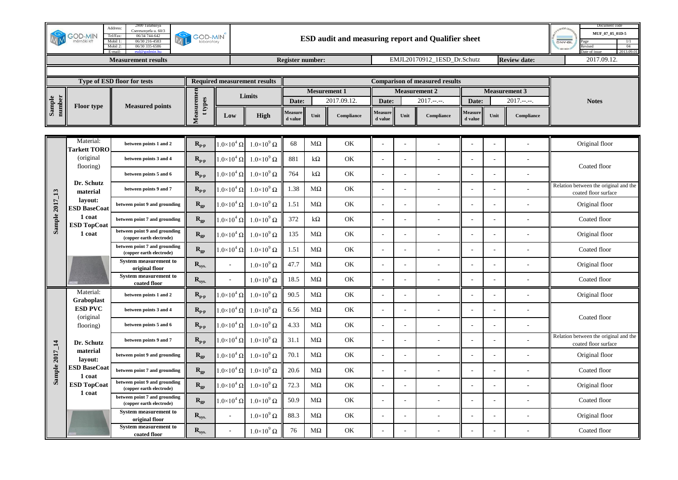| 2800 Tatabanya<br>Address:<br>Cseresznyefa u. 60/3<br><b>GOD-MIN</b><br>Tel/Fax:<br>06/34 744-642<br><b>GOD-MIN</b><br>nérnöki kf<br>Mobil 1:<br>06/30 216-4583<br>laboratory<br>Mobil 2:<br>06/30 335-6586 |                                                                                                                                                     |                                                                              |                                             |                          | ESD audit and measuring report and Qualifier sheet                            |                      |                     |                     |                          |                          |                      |                    | Document code<br>MUF 07 05 01D-5<br><b>DNV-GL</b><br>04<br>evised<br>2013.09 |              |                                                               |
|-------------------------------------------------------------------------------------------------------------------------------------------------------------------------------------------------------------|-----------------------------------------------------------------------------------------------------------------------------------------------------|------------------------------------------------------------------------------|---------------------------------------------|--------------------------|-------------------------------------------------------------------------------|----------------------|---------------------|---------------------|--------------------------|--------------------------|----------------------|--------------------|------------------------------------------------------------------------------|--------------|---------------------------------------------------------------|
| <b>Measurement results</b>                                                                                                                                                                                  |                                                                                                                                                     |                                                                              |                                             |                          | EMJL20170912 1ESD Dr.Schutz<br><b>Register number:</b><br><b>Review date:</b> |                      |                     |                     |                          |                          |                      | 2017.09.12.        |                                                                              |              |                                                               |
|                                                                                                                                                                                                             | Type of ESD floor for tests                                                                                                                         | <b>Required measurement results</b><br><b>Comparison of measured results</b> |                                             |                          |                                                                               |                      |                     |                     |                          |                          |                      |                    |                                                                              |              |                                                               |
|                                                                                                                                                                                                             |                                                                                                                                                     |                                                                              |                                             |                          |                                                                               |                      | <b>Mesurement 1</b> |                     | <b>Measurement 2</b>     |                          | <b>Measurement 3</b> |                    |                                                                              | <b>Notes</b> |                                                               |
| Sample<br>number                                                                                                                                                                                            | <b>Floor type</b>                                                                                                                                   | <b>Measured points</b>                                                       | t types                                     | Limits                   |                                                                               | Date:<br>2017.09.12. |                     | Date:<br>$2017.---$ |                          | $2017.---$<br>Date:      |                      |                    |                                                                              |              |                                                               |
|                                                                                                                                                                                                             |                                                                                                                                                     |                                                                              | Measuremen                                  | Low                      | <b>High</b>                                                                   | Measure<br>d value   | Unit                | Compliance          | Measure<br>d value       | Unit                     | Compliance           | Measure<br>d value | Unit                                                                         | Compliance   |                                                               |
|                                                                                                                                                                                                             | Material:                                                                                                                                           | between points 1 and 2                                                       | $\mathbf{R}_{\mathbf{p}\text{-}\mathbf{p}}$ | $1.0\times10^4$ $\Omega$ | $1.0\times10^9$ $\Omega$                                                      | 68                   | $M\Omega$           | OK                  |                          |                          |                      |                    |                                                                              |              | Original floor                                                |
|                                                                                                                                                                                                             | <b>Tarkett TORO</b><br>(original<br>flooring)<br>Dr. Schutz<br>material<br>lavout:<br><b>ESD BaseCoat</b><br>1 coat<br><b>ESD TopCoat</b><br>1 coat | between points 3 and 4                                                       | $R_{p-p}$                                   | $1.0\times10^4$ $\Omega$ | $1.0\times10^9$ $\Omega$                                                      | 881                  | $k\Omega$           | OK                  | ÷                        |                          |                      |                    |                                                                              |              |                                                               |
| Sample 2017_13                                                                                                                                                                                              |                                                                                                                                                     | between points 5 and 6                                                       | $R_{p-p}$                                   | $1.0\times10^4$ $\Omega$ | $1.0\times10^9$ $\Omega$                                                      | 764                  | $k\Omega$           | OK                  |                          |                          |                      |                    |                                                                              |              | Coated floor                                                  |
|                                                                                                                                                                                                             |                                                                                                                                                     | between points 9 and 7                                                       | $\mathbf{R}_{\mathbf{p}\text{-}\mathbf{p}}$ | $1.0\times10^4$ $\Omega$ | $1.0\times10^9$ $\Omega$                                                      | 1.38                 | $M\Omega$           | OK                  |                          |                          |                      |                    |                                                                              |              | Relation between the original and the<br>coated floor surface |
|                                                                                                                                                                                                             |                                                                                                                                                     | between point 9 and grounding                                                | $R_{gp}$                                    | $1.0\times10^4$ $\Omega$ | $1.0\times10^9$ $\Omega$                                                      | 1.51                 | $M\Omega$           | OK                  | $\overline{\phantom{a}}$ |                          |                      |                    |                                                                              |              | Original floor                                                |
|                                                                                                                                                                                                             |                                                                                                                                                     | between point 7 and grounding                                                | $R_{gp}$                                    | $1.0\times10^4$ $\Omega$ | $1.0\times10^9$ $\Omega$                                                      | 372                  | $k\Omega$           | OK                  | $\overline{\phantom{a}}$ |                          |                      |                    |                                                                              |              | Coated floor                                                  |
|                                                                                                                                                                                                             |                                                                                                                                                     | between point 9 and grounding<br>(copper earth electrode)                    | $\mathbf{R}_{\text{gp}}$                    | $.0\times10^4$ $\Omega$  | $1.0\times10^9$ $\Omega$                                                      | 135                  | МΩ                  | OK                  |                          |                          |                      |                    |                                                                              |              | Original floor                                                |
|                                                                                                                                                                                                             |                                                                                                                                                     | between point 7 and grounding<br>(copper earth electrode)                    | $R_{gp}$                                    | $1.0 \times 10^4 \Omega$ | $1.0\times10^9$ $\Omega$                                                      | 1.51                 | $M\Omega$           | OK                  | $\overline{\phantom{a}}$ |                          |                      |                    |                                                                              |              | Coated floor                                                  |
|                                                                                                                                                                                                             |                                                                                                                                                     | <b>System measurement to</b><br>original floor                               | $R_{sys.}$                                  | $\sim$                   | $1.0 \times 10^9 \Omega$                                                      | 47.7                 | $M\Omega$           | OK                  | $\overline{a}$           |                          |                      |                    |                                                                              |              | Original floor                                                |
|                                                                                                                                                                                                             |                                                                                                                                                     | <b>System measurement to</b><br>coated floor                                 | $R_{sys.}$                                  |                          | $1.0\times10^9$ $\Omega$                                                      | 18.5                 | МΩ                  | OK                  |                          |                          |                      |                    |                                                                              |              | Coated floor                                                  |
| Sample 2017_14                                                                                                                                                                                              | Material:<br><b>Graboplast</b><br><b>ESD PVC</b><br>(original<br>flooring)                                                                          | between points 1 and 2                                                       | $R_{p-p}$                                   | $1.0\times10^4$ $\Omega$ | $1.0\times10^9$ $\Omega$                                                      | 90.5                 | $M\Omega$           | OK                  |                          |                          |                      |                    |                                                                              |              | Original floor                                                |
|                                                                                                                                                                                                             |                                                                                                                                                     | between points 3 and 4                                                       | $R_{p-p}$                                   | $1.0\times10^4$ $\Omega$ | $1.0\times10^9$ $\Omega$                                                      | 6.56                 | $M\Omega$           | OK                  | $\overline{\phantom{a}}$ |                          |                      |                    |                                                                              |              | Coated floor                                                  |
|                                                                                                                                                                                                             |                                                                                                                                                     | between points 5 and 6                                                       | $\mathbf{R}_{\mathbf{p}\text{-}\mathbf{p}}$ | $1.0\times10^4$ $\Omega$ | $1.0\times10^{9} \Omega$                                                      | 4.33                 | МΩ                  | OK                  | $\overline{\phantom{a}}$ |                          |                      |                    |                                                                              |              |                                                               |
|                                                                                                                                                                                                             | Dr. Schutz<br>material<br>lavout:<br><b>ESD BaseCoat</b><br>1 coat<br><b>ESD TopCoat</b><br>1 coat                                                  | between points 9 and 7                                                       | $\mathbf{R}_{\text{p-p}}$                   | $1.0\times10^4$ $\Omega$ | $1.0\times10^9$ $\Omega$                                                      | 31.1                 | $M\Omega$           | OK                  |                          |                          |                      |                    |                                                                              |              | Relation between the original and the<br>coated floor surface |
|                                                                                                                                                                                                             |                                                                                                                                                     | between point 9 and grounding                                                | $R_{gp}$                                    | $1.0\times10^4$ $\Omega$ | $1.0 \times 10^9 \Omega$                                                      | 70.1                 | $M\Omega$           | OK                  |                          |                          |                      |                    |                                                                              |              | Original floor                                                |
|                                                                                                                                                                                                             |                                                                                                                                                     | between point 7 and grounding                                                | $R_{gp}$                                    | $1.0\times10^4$ $\Omega$ | $1.0\times10^9$ $\Omega$                                                      | 20.6                 | $M\Omega$           | OK                  | $\sim$                   |                          |                      |                    |                                                                              |              | Coated floor                                                  |
|                                                                                                                                                                                                             |                                                                                                                                                     | between point 9 and grounding<br>(copper earth electrode)                    | $R_{gp}$                                    | $.0\times10^4$ $\Omega$  | $1.0\times10^9$ $\Omega$                                                      | 72.3                 | $M\Omega$           | OK                  |                          |                          |                      |                    |                                                                              |              | Original floor                                                |
|                                                                                                                                                                                                             |                                                                                                                                                     | between point 7 and grounding<br>(copper earth electrode)                    | $R_{gp}$                                    | $1.0\times10^4$ $\Omega$ | $1.0\times10^9$ $\Omega$                                                      | 50.9                 | $M\Omega$           | OK                  | $\sim$                   |                          |                      |                    |                                                                              |              | Coated floor                                                  |
|                                                                                                                                                                                                             |                                                                                                                                                     | <b>System measurement to</b><br>original floor                               | $\mathbf{R}_{\textrm{sys.}}$                | $\sim$                   | $1.0 \times 10^9 \Omega$                                                      | 88.3                 | $\rm{M}\Omega$      | OK                  | L.                       | $\overline{\phantom{a}}$ |                      |                    |                                                                              |              | Original floor                                                |
|                                                                                                                                                                                                             |                                                                                                                                                     | <b>System measurement to</b><br>coated floor                                 | $\mathbf{R}_{\textrm{sys.}}$                |                          | $1.0\times10^9$ $\Omega$                                                      | 76                   | $M\Omega$           | OK                  |                          |                          |                      |                    |                                                                              |              | Coated floor                                                  |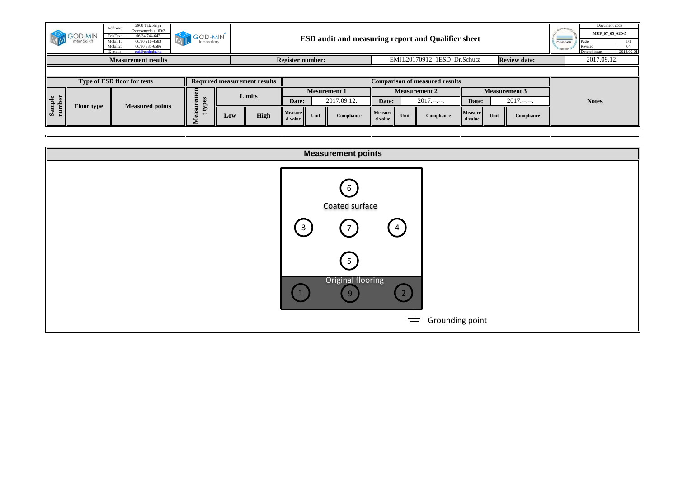|                                                      | <b>GOD-MIN</b>    | 2800 Tatabanya<br>Address:<br>Cseresznyefa u. 60/3<br>06/34 744-642<br>Tel/Fax:<br>06/30 216-4583<br>Mobil 1:<br>06/30 335-6586<br>Mobil.<br>E-mail:<br>$esd@$ godmin.hu | <b>GOD-MIN</b><br>N        |        | <b>ESD audit and measuring report and Qualifier sheet</b>                    |                             |       |                      |              |  |  |  |  |
|------------------------------------------------------|-------------------|--------------------------------------------------------------------------------------------------------------------------------------------------------------------------|----------------------------|--------|------------------------------------------------------------------------------|-----------------------------|-------|----------------------|--------------|--|--|--|--|
|                                                      |                   | <b>Measurement results</b>                                                                                                                                               |                            |        | Register number:                                                             | EMJL20170912 1ESD Dr.Schutz |       | <b>Review date:</b>  | 2017.09.12.  |  |  |  |  |
|                                                      |                   |                                                                                                                                                                          |                            |        |                                                                              |                             |       |                      |              |  |  |  |  |
| <b>Type of ESD floor for tests</b>                   |                   |                                                                                                                                                                          |                            |        | <b>Required measurement results</b><br><b>Comparison of measured results</b> |                             |       |                      |              |  |  |  |  |
|                                                      |                   |                                                                                                                                                                          |                            |        |                                                                              |                             |       |                      |              |  |  |  |  |
|                                                      |                   |                                                                                                                                                                          |                            |        | <b>Mesurement 1</b>                                                          | <b>Measurement 2</b>        |       | <b>Measurement 3</b> |              |  |  |  |  |
| e<br>ber<br>$\overline{\text{Sam}}$<br>$\frac{1}{2}$ | <b>Floor type</b> | <b>Measured points</b>                                                                                                                                                   | E<br>-83<br>$\Delta$<br>E, | Limits | 2017.09.12.<br>Date:                                                         | $2017 - -$<br>Date:         | Date: | $2017.---$           | <b>Notes</b> |  |  |  |  |